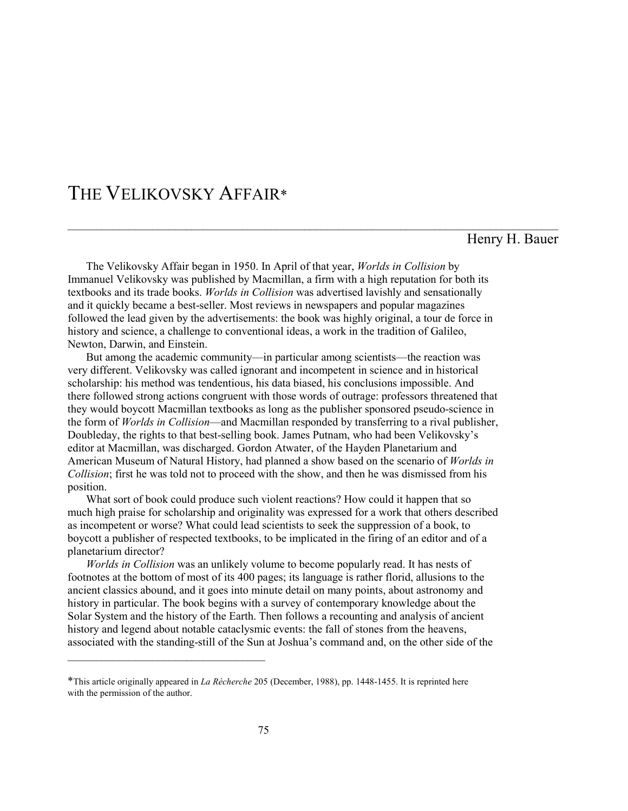## THE VELIKOVSKY AFFAIR\*

\_\_\_\_\_\_\_\_\_\_\_\_\_\_\_\_\_\_\_\_\_\_\_\_\_\_\_\_\_\_\_\_\_\_\_

### Henry H. Bauer

 The Velikovsky Affair began in 1950. In April of that year, Worlds in Collision by Immanuel Velikovsky was published by Macmillan, a firm with a high reputation for both its textbooks and its trade books. Worlds in Collision was advertised lavishly and sensationally and it quickly became a best-seller. Most reviews in newspapers and popular magazines followed the lead given by the advertisements: the book was highly original, a tour de force in history and science, a challenge to conventional ideas, a work in the tradition of Galileo, Newton, Darwin, and Einstein.

\_\_\_\_\_\_\_\_\_\_\_\_\_\_\_\_\_\_\_\_\_\_\_\_\_\_\_\_\_\_\_\_\_\_\_\_\_\_\_\_\_\_\_\_\_\_\_\_\_\_\_\_\_\_\_\_\_\_\_\_\_\_\_\_\_\_\_\_\_\_\_\_\_\_\_\_\_\_\_\_\_\_\_\_\_\_\_

 But among the academic community—in particular among scientists—the reaction was very different. Velikovsky was called ignorant and incompetent in science and in historical scholarship: his method was tendentious, his data biased, his conclusions impossible. And there followed strong actions congruent with those words of outrage: professors threatened that they would boycott Macmillan textbooks as long as the publisher sponsored pseudo-science in the form of Worlds in Collision—and Macmillan responded by transferring to a rival publisher, Doubleday, the rights to that best-selling book. James Putnam, who had been Velikovsky's editor at Macmillan, was discharged. Gordon Atwater, of the Hayden Planetarium and American Museum of Natural History, had planned a show based on the scenario of Worlds in Collision; first he was told not to proceed with the show, and then he was dismissed from his position.

 What sort of book could produce such violent reactions? How could it happen that so much high praise for scholarship and originality was expressed for a work that others described as incompetent or worse? What could lead scientists to seek the suppression of a book, to boycott a publisher of respected textbooks, to be implicated in the firing of an editor and of a planetarium director?

Worlds in Collision was an unlikely volume to become popularly read. It has nests of footnotes at the bottom of most of its 400 pages; its language is rather florid, allusions to the ancient classics abound, and it goes into minute detail on many points, about astronomy and history in particular. The book begins with a survey of contemporary knowledge about the Solar System and the history of the Earth. Then follows a recounting and analysis of ancient history and legend about notable cataclysmic events: the fall of stones from the heavens, associated with the standing-still of the Sun at Joshua's command and, on the other side of the

<sup>\*</sup>This article originally appeared in La Récherche 205 (December, 1988), pp. 1448-1455. It is reprinted here with the permission of the author.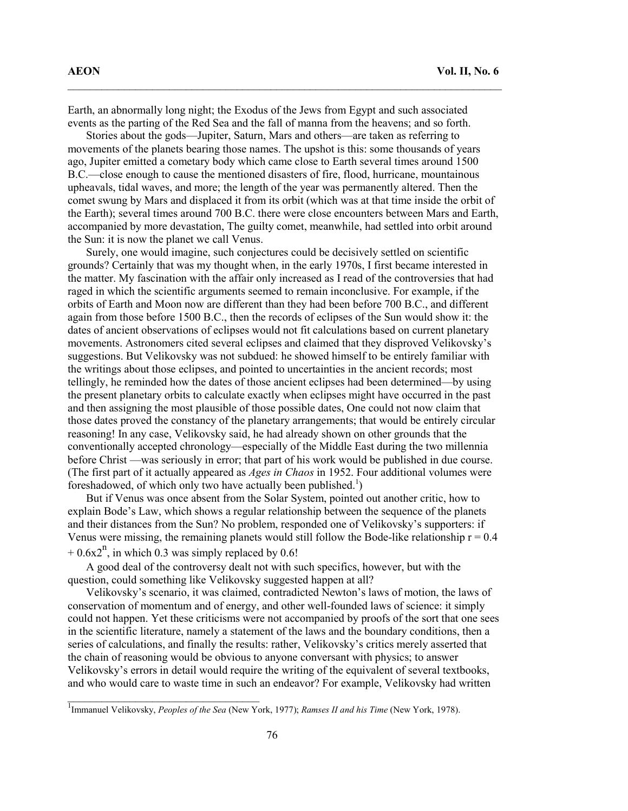Earth, an abnormally long night; the Exodus of the Jews from Egypt and such associated events as the parting of the Red Sea and the fall of manna from the heavens; and so forth.

\_\_\_\_\_\_\_\_\_\_\_\_\_\_\_\_\_\_\_\_\_\_\_\_\_\_\_\_\_\_\_\_\_\_\_\_\_\_\_\_\_\_\_\_\_\_\_\_\_\_\_\_\_\_\_\_\_\_\_\_\_\_\_\_\_\_\_\_\_\_\_\_\_\_\_\_\_

 Stories about the gods—Jupiter, Saturn, Mars and others—are taken as referring to movements of the planets bearing those names. The upshot is this: some thousands of years ago, Jupiter emitted a cometary body which came close to Earth several times around 1500 B.C.—close enough to cause the mentioned disasters of fire, flood, hurricane, mountainous upheavals, tidal waves, and more; the length of the year was permanently altered. Then the comet swung by Mars and displaced it from its orbit (which was at that time inside the orbit of the Earth); several times around 700 B.C. there were close encounters between Mars and Earth, accompanied by more devastation, The guilty comet, meanwhile, had settled into orbit around the Sun: it is now the planet we call Venus.

 Surely, one would imagine, such conjectures could be decisively settled on scientific grounds? Certainly that was my thought when, in the early 1970s, I first became interested in the matter. My fascination with the affair only increased as I read of the controversies that had raged in which the scientific arguments seemed to remain inconclusive. For example, if the orbits of Earth and Moon now are different than they had been before 700 B.C., and different again from those before 1500 B.C., then the records of eclipses of the Sun would show it: the dates of ancient observations of eclipses would not fit calculations based on current planetary movements. Astronomers cited several eclipses and claimed that they disproved Velikovsky's suggestions. But Velikovsky was not subdued: he showed himself to be entirely familiar with the writings about those eclipses, and pointed to uncertainties in the ancient records; most tellingly, he reminded how the dates of those ancient eclipses had been determined—by using the present planetary orbits to calculate exactly when eclipses might have occurred in the past and then assigning the most plausible of those possible dates, One could not now claim that those dates proved the constancy of the planetary arrangements; that would be entirely circular reasoning! In any case, Velikovsky said, he had already shown on other grounds that the conventionally accepted chronology—especially of the Middle East during the two millennia before Christ —was seriously in error; that part of his work would be published in due course. (The first part of it actually appeared as *Ages in Chaos* in 1952. Four additional volumes were foreshadowed, of which only two have actually been published.<sup>1</sup>)

 But if Venus was once absent from the Solar System, pointed out another critic, how to explain Bode's Law, which shows a regular relationship between the sequence of the planets and their distances from the Sun? No problem, responded one of Velikovsky's supporters: if Venus were missing, the remaining planets would still follow the Bode-like relationship  $r = 0.4$ 

 $+ 0.6x2<sup>n</sup>$ , in which 0.3 was simply replaced by 0.6!

 $\_$ 

 A good deal of the controversy dealt not with such specifics, however, but with the question, could something like Velikovsky suggested happen at all?

 Velikovsky's scenario, it was claimed, contradicted Newton's laws of motion, the laws of conservation of momentum and of energy, and other well-founded laws of science: it simply could not happen. Yet these criticisms were not accompanied by proofs of the sort that one sees in the scientific literature, namely a statement of the laws and the boundary conditions, then a series of calculations, and finally the results: rather, Velikovsky's critics merely asserted that the chain of reasoning would be obvious to anyone conversant with physics; to answer Velikovsky's errors in detail would require the writing of the equivalent of several textbooks, and who would care to waste time in such an endeavor? For example, Velikovsky had written

<sup>&</sup>lt;sup>1</sup> Immanuel Velikovsky, Peoples of the Sea (New York, 1977); Ramses II and his Time (New York, 1978).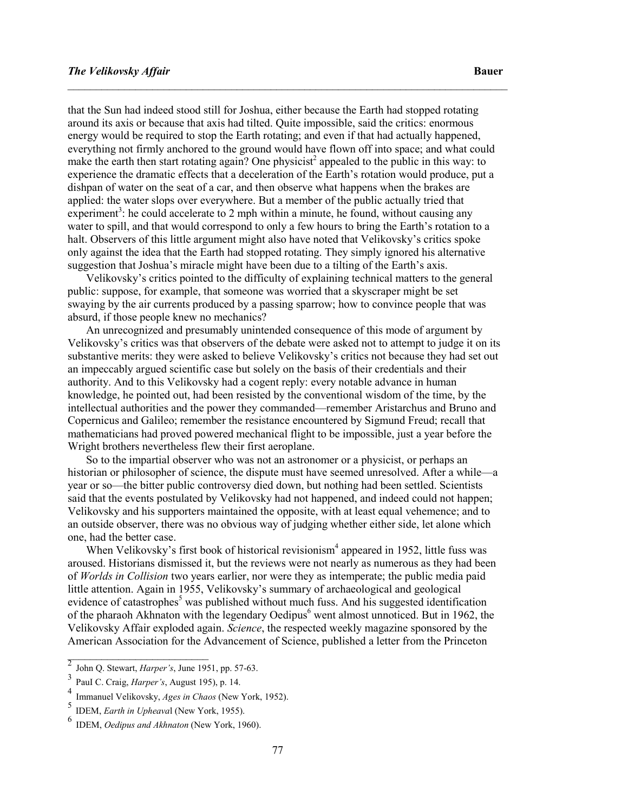that the Sun had indeed stood still for Joshua, either because the Earth had stopped rotating around its axis or because that axis had tilted. Quite impossible, said the critics: enormous energy would be required to stop the Earth rotating; and even if that had actually happened, everything not firmly anchored to the ground would have flown off into space; and what could make the earth then start rotating again? One physicist<sup>2</sup> appealed to the public in this way: to experience the dramatic effects that a deceleration of the Earth's rotation would produce, put a dishpan of water on the seat of a car, and then observe what happens when the brakes are applied: the water slops over everywhere. But a member of the public actually tried that experiment<sup>3</sup>: he could accelerate to 2 mph within a minute, he found, without causing any water to spill, and that would correspond to only a few hours to bring the Earth's rotation to a halt. Observers of this little argument might also have noted that Velikovsky's critics spoke only against the idea that the Earth had stopped rotating. They simply ignored his alternative suggestion that Joshua's miracle might have been due to a tilting of the Earth's axis.

\_\_\_\_\_\_\_\_\_\_\_\_\_\_\_\_\_\_\_\_\_\_\_\_\_\_\_\_\_\_\_\_\_\_\_\_\_\_\_\_\_\_\_\_\_\_\_\_\_\_\_\_\_\_\_\_\_\_\_\_\_\_\_\_\_\_\_\_\_\_\_\_\_\_\_\_\_\_

 Velikovsky's critics pointed to the difficulty of explaining technical matters to the general public: suppose, for example, that someone was worried that a skyscraper might be set swaying by the air currents produced by a passing sparrow; how to convince people that was absurd, if those people knew no mechanics?

 An unrecognized and presumably unintended consequence of this mode of argument by Velikovsky's critics was that observers of the debate were asked not to attempt to judge it on its substantive merits: they were asked to believe Velikovsky's critics not because they had set out an impeccably argued scientific case but solely on the basis of their credentials and their authority. And to this Velikovsky had a cogent reply: every notable advance in human knowledge, he pointed out, had been resisted by the conventional wisdom of the time, by the intellectual authorities and the power they commanded—remember Aristarchus and Bruno and Copernicus and Galileo; remember the resistance encountered by Sigmund Freud; recall that mathematicians had proved powered mechanical flight to be impossible, just a year before the Wright brothers nevertheless flew their first aeroplane.

 So to the impartial observer who was not an astronomer or a physicist, or perhaps an historian or philosopher of science, the dispute must have seemed unresolved. After a while—a year or so—the bitter public controversy died down, but nothing had been settled. Scientists said that the events postulated by Velikovsky had not happened, and indeed could not happen; Velikovsky and his supporters maintained the opposite, with at least equal vehemence; and to an outside observer, there was no obvious way of judging whether either side, let alone which one, had the better case.

When Velikovsky's first book of historical revisionism<sup>4</sup> appeared in 1952, little fuss was aroused. Historians dismissed it, but the reviews were not nearly as numerous as they had been of Worlds in Collision two years earlier, nor were they as intemperate; the public media paid little attention. Again in 1955, Velikovsky's summary of archaeological and geological evidence of catastrophes<sup>5</sup> was published without much fuss. And his suggested identification of the pharaoh Akhnaton with the legendary Oedipus<sup>6</sup> went almost unnoticed. But in 1962, the Velikovsky Affair exploded again. Science, the respected weekly magazine sponsored by the American Association for the Advancement of Science, published a letter from the Princeton

 $\_$ 

 $\frac{2}{3}$  John Q. Stewart, *Harper's*, June 1951, pp. 57-63.

<sup>&</sup>lt;sup>3</sup> PauI C. Craig, *Harper's*, August 195), p. 14.

<sup>&</sup>lt;sup>4</sup> Immanuel Velikovsky, *Ages in Chaos* (New York, 1952).<br>5 IDEM, Earth in Unhaguel Olay: Vork, 1955).

<sup>&</sup>lt;sup>5</sup> IDEM, *Earth in Upheaval* (New York, 1955).

IDEM, Oedipus and Akhnaton (New York, 1960).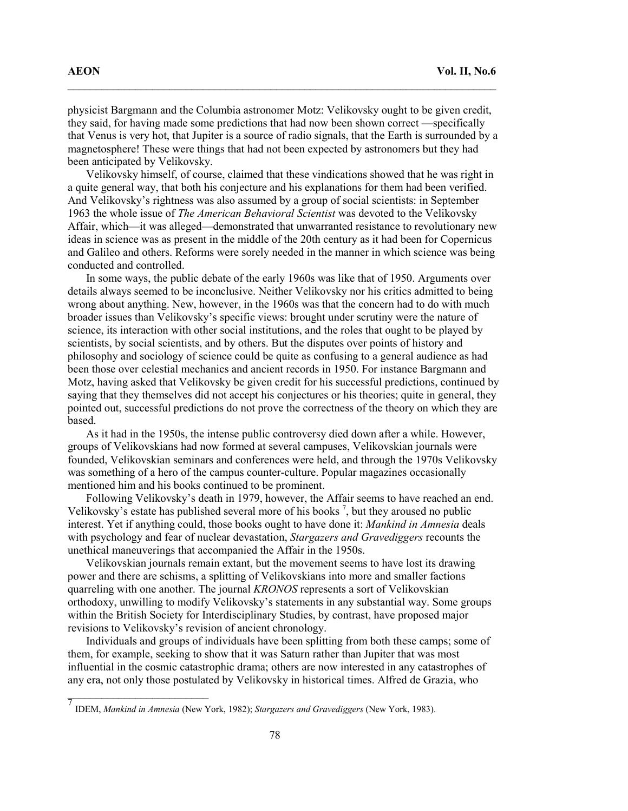physicist Bargmann and the Columbia astronomer Motz: Velikovsky ought to be given credit, they said, for having made some predictions that had now been shown correct —specifically that Venus is very hot, that Jupiter is a source of radio signals, that the Earth is surrounded by a magnetosphere! These were things that had not been expected by astronomers but they had been anticipated by Velikovsky.

\_\_\_\_\_\_\_\_\_\_\_\_\_\_\_\_\_\_\_\_\_\_\_\_\_\_\_\_\_\_\_\_\_\_\_\_\_\_\_\_\_\_\_\_\_\_\_\_\_\_\_\_\_\_\_\_\_\_\_\_\_\_\_\_\_\_\_\_\_\_\_\_\_\_\_\_

 Velikovsky himself, of course, claimed that these vindications showed that he was right in a quite general way, that both his conjecture and his explanations for them had been verified. And Velikovsky's rightness was also assumed by a group of social scientists: in September 1963 the whole issue of *The American Behavioral Scientist* was devoted to the Velikovsky Affair, which—it was alleged—demonstrated that unwarranted resistance to revolutionary new ideas in science was as present in the middle of the 20th century as it had been for Copernicus and Galileo and others. Reforms were sorely needed in the manner in which science was being conducted and controlled.

 In some ways, the public debate of the early 1960s was like that of 1950. Arguments over details always seemed to be inconclusive. Neither Velikovsky nor his critics admitted to being wrong about anything. New, however, in the 1960s was that the concern had to do with much broader issues than Velikovsky's specific views: brought under scrutiny were the nature of science, its interaction with other social institutions, and the roles that ought to be played by scientists, by social scientists, and by others. But the disputes over points of history and philosophy and sociology of science could be quite as confusing to a general audience as had been those over celestial mechanics and ancient records in 1950. For instance Bargmann and Motz, having asked that Velikovsky be given credit for his successful predictions, continued by saying that they themselves did not accept his conjectures or his theories; quite in general, they pointed out, successful predictions do not prove the correctness of the theory on which they are based.

 As it had in the 1950s, the intense public controversy died down after a while. However, groups of Velikovskians had now formed at several campuses, Velikovskian journals were founded, Velikovskian seminars and conferences were held, and through the 1970s Velikovsky was something of a hero of the campus counter-culture. Popular magazines occasionally mentioned him and his books continued to be prominent.

 Following Velikovsky's death in 1979, however, the Affair seems to have reached an end. Velikovsky's estate has published several more of his books  $^7$ , but they aroused no public interest. Yet if anything could, those books ought to have done it: Mankind in Amnesia deals with psychology and fear of nuclear devastation, *Stargazers and Gravediggers* recounts the unethical maneuverings that accompanied the Affair in the 1950s.

 Velikovskian journals remain extant, but the movement seems to have lost its drawing power and there are schisms, a splitting of Velikovskians into more and smaller factions quarreling with one another. The journal KRONOS represents a sort of Velikovskian orthodoxy, unwilling to modify Velikovsky's statements in any substantial way. Some groups within the British Society for Interdisciplinary Studies, by contrast, have proposed major revisions to Velikovsky's revision of ancient chronology.

 Individuals and groups of individuals have been splitting from both these camps; some of them, for example, seeking to show that it was Saturn rather than Jupiter that was most influential in the cosmic catastrophic drama; others are now interested in any catastrophes of any era, not only those postulated by Velikovsky in historical times. Alfred de Grazia, who

 $\_$ 

<sup>7&</sup>lt;br>IDEM, Mankind in Amnesia (New York, 1982); Stargazers and Gravediggers (New York, 1983).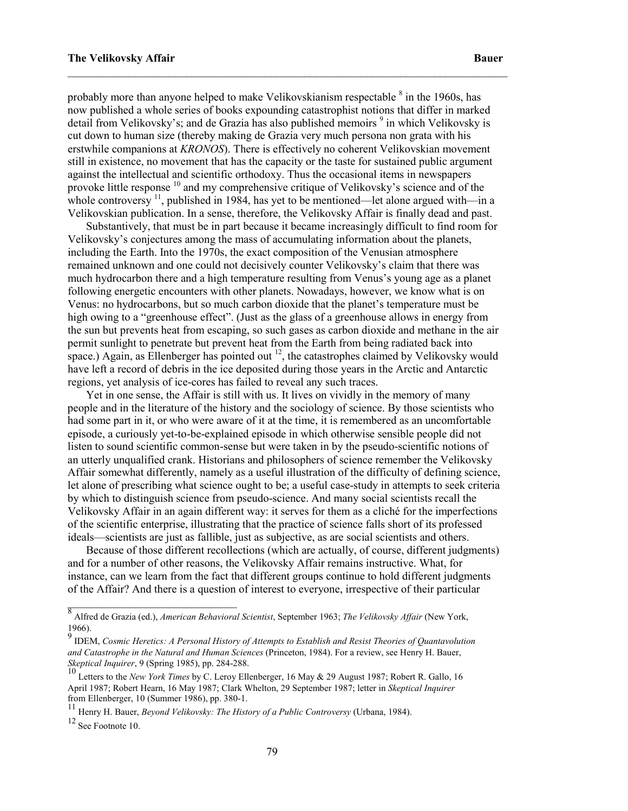probably more than anyone helped to make Velikovskianism respectable  $\delta$  in the 1960s, has now published a whole series of books expounding catastrophist notions that differ in marked detail from Velikovsky's; and de Grazia has also published memoirs <sup>9</sup> in which Velikovsky is cut down to human size (thereby making de Grazia very much persona non grata with his erstwhile companions at KRONOS). There is effectively no coherent Velikovskian movement still in existence, no movement that has the capacity or the taste for sustained public argument against the intellectual and scientific orthodoxy. Thus the occasional items in newspapers provoke little response <sup>10</sup> and my comprehensive critique of Velikovsky's science and of the whole controversy  $\frac{11}{1}$ , published in 1984, has yet to be mentioned—let alone argued with—in a Velikovskian publication. In a sense, therefore, the Velikovsky Affair is finally dead and past.

 $\_$  , and the contribution of the contribution of the contribution of the contribution of the contribution of  $\mathcal{L}_\text{max}$ 

 Substantively, that must be in part because it became increasingly difficult to find room for Velikovsky's conjectures among the mass of accumulating information about the planets, including the Earth. Into the 1970s, the exact composition of the Venusian atmosphere remained unknown and one could not decisively counter Velikovsky's claim that there was much hydrocarbon there and a high temperature resulting from Venus's young age as a planet following energetic encounters with other planets. Nowadays, however, we know what is on Venus: no hydrocarbons, but so much carbon dioxide that the planet's temperature must be high owing to a "greenhouse effect". (Just as the glass of a greenhouse allows in energy from the sun but prevents heat from escaping, so such gases as carbon dioxide and methane in the air permit sunlight to penetrate but prevent heat from the Earth from being radiated back into space.) Again, as Ellenberger has pointed out  $12$ , the catastrophes claimed by Velikovsky would have left a record of debris in the ice deposited during those years in the Arctic and Antarctic regions, yet analysis of ice-cores has failed to reveal any such traces.

 Yet in one sense, the Affair is still with us. It lives on vividly in the memory of many people and in the literature of the history and the sociology of science. By those scientists who had some part in it, or who were aware of it at the time, it is remembered as an uncomfortable episode, a curiously yet-to-be-explained episode in which otherwise sensible people did not listen to sound scientific common-sense but were taken in by the pseudo-scientific notions of an utterly unqualified crank. Historians and philosophers of science remember the Velikovsky Affair somewhat differently, namely as a useful illustration of the difficulty of defining science, let alone of prescribing what science ought to be; a useful case-study in attempts to seek criteria by which to distinguish science from pseudo-science. And many social scientists recall the Velikovsky Affair in an again different way: it serves for them as a cliché for the imperfections of the scientific enterprise, illustrating that the practice of science falls short of its professed ideals—scientists are just as fallible, just as subjective, as are social scientists and others.

 Because of those different recollections (which are actually, of course, different judgments) and for a number of other reasons, the Velikovsky Affair remains instructive. What, for instance, can we learn from the fact that different groups continue to hold different judgments of the Affair? And there is a question of interest to everyone, irrespective of their particular

 $\_$ 

<sup>8&</sup>lt;br>Alfred de Grazia (ed.), American Behavioral Scientist, September 1963; The Velikovsky Affair (New York, 1966).

 $^{9}$  IDEM, Cosmic Heretics: A Personal History of Attempts to Establish and Resist Theories of Quantavolution and Catastrophe in the Natural and Human Sciences (Princeton, 1984). For a review, see Henry H. Bauer, Skeptical Inquirer, 9 (Spring 1985), pp. 284-288.

<sup>&</sup>lt;sup>10</sup> Letters to the New York Times by C. Leroy Ellenberger, 16 May & 29 August 1987; Robert R. Gallo, 16 April 1987; Robert Hearn, 16 May 1987; Clark Whelton, 29 September 1987; letter in Skeptical Inquirer from Ellenberger, 10 (Summer 1986), pp. 380-1.

<sup>11</sup> Henry H. Bauer, Beyond Velikovsky: The History of a Public Controversy (Urbana, 1984).

 $12$  See Footnote 10.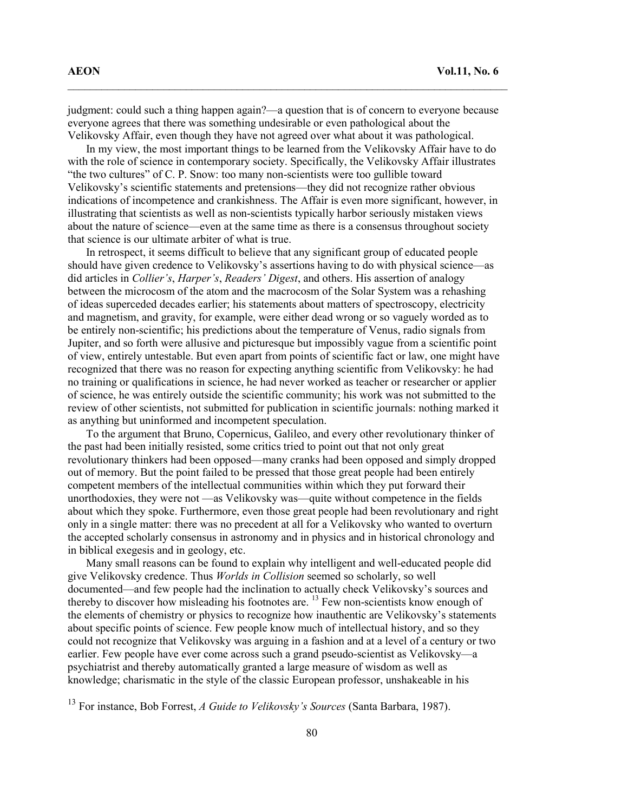judgment: could such a thing happen again?—a question that is of concern to everyone because everyone agrees that there was something undesirable or even pathological about the Velikovsky Affair, even though they have not agreed over what about it was pathological.

\_\_\_\_\_\_\_\_\_\_\_\_\_\_\_\_\_\_\_\_\_\_\_\_\_\_\_\_\_\_\_\_\_\_\_\_\_\_\_\_\_\_\_\_\_\_\_\_\_\_\_\_\_\_\_\_\_\_\_\_\_\_\_\_\_\_\_\_\_\_\_\_\_\_\_\_\_\_

 In my view, the most important things to be learned from the Velikovsky Affair have to do with the role of science in contemporary society. Specifically, the Velikovsky Affair illustrates "the two cultures" of C. P. Snow: too many non-scientists were too gullible toward Velikovsky's scientific statements and pretensions—they did not recognize rather obvious indications of incompetence and crankishness. The Affair is even more significant, however, in illustrating that scientists as well as non-scientists typically harbor seriously mistaken views about the nature of science—even at the same time as there is a consensus throughout society that science is our ultimate arbiter of what is true.

 In retrospect, it seems difficult to believe that any significant group of educated people should have given credence to Velikovsky's assertions having to do with physical science—as did articles in *Collier's, Harper's, Readers' Digest*, and others. His assertion of analogy between the microcosm of the atom and the macrocosm of the Solar System was a rehashing of ideas superceded decades earlier; his statements about matters of spectroscopy, electricity and magnetism, and gravity, for example, were either dead wrong or so vaguely worded as to be entirely non-scientific; his predictions about the temperature of Venus, radio signals from Jupiter, and so forth were allusive and picturesque but impossibly vague from a scientific point of view, entirely untestable. But even apart from points of scientific fact or law, one might have recognized that there was no reason for expecting anything scientific from Velikovsky: he had no training or qualifications in science, he had never worked as teacher or researcher or applier of science, he was entirely outside the scientific community; his work was not submitted to the review of other scientists, not submitted for publication in scientific journals: nothing marked it as anything but uninformed and incompetent speculation.

 To the argument that Bruno, Copernicus, Galileo, and every other revolutionary thinker of the past had been initially resisted, some critics tried to point out that not only great revolutionary thinkers had been opposed—many cranks had been opposed and simply dropped out of memory. But the point failed to be pressed that those great people had been entirely competent members of the intellectual communities within which they put forward their unorthodoxies, they were not —as Velikovsky was—quite without competence in the fields about which they spoke. Furthermore, even those great people had been revolutionary and right only in a single matter: there was no precedent at all for a Velikovsky who wanted to overturn the accepted scholarly consensus in astronomy and in physics and in historical chronology and in biblical exegesis and in geology, etc.

 Many small reasons can be found to explain why intelligent and well-educated people did give Velikovsky credence. Thus Worlds in Collision seemed so scholarly, so well documented—and few people had the inclination to actually check Velikovsky's sources and thereby to discover how misleading his footnotes are.  $^{13}$  Few non-scientists know enough of the elements of chemistry or physics to recognize how inauthentic are Velikovsky's statements about specific points of science. Few people know much of intellectual history, and so they could not recognize that Velikovsky was arguing in a fashion and at a level of a century or two earlier. Few people have ever come across such a grand pseudo-scientist as Velikovsky—a psychiatrist and thereby automatically granted a large measure of wisdom as well as knowledge; charismatic in the style of the classic European professor, unshakeable in his

 $13$  For instance, Bob Forrest, A Guide to Velikovsky's Sources (Santa Barbara, 1987).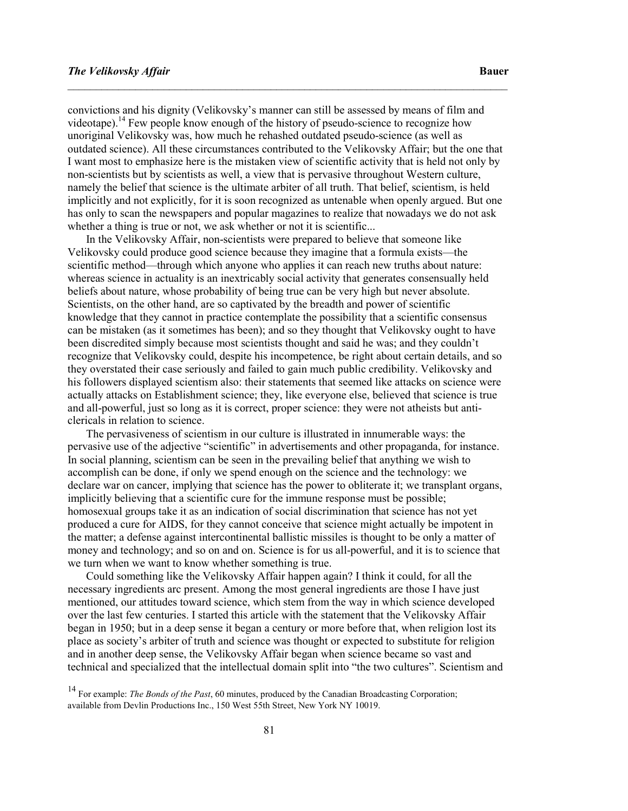convictions and his dignity (Velikovsky's manner can still be assessed by means of film and videotape).<sup>14</sup> Few people know enough of the history of pseudo-science to recognize how unoriginal Velikovsky was, how much he rehashed outdated pseudo-science (as well as outdated science). All these circumstances contributed to the Velikovsky Affair; but the one that I want most to emphasize here is the mistaken view of scientific activity that is held not only by non-scientists but by scientists as well, a view that is pervasive throughout Western culture, namely the belief that science is the ultimate arbiter of all truth. That belief, scientism, is held implicitly and not explicitly, for it is soon recognized as untenable when openly argued. But one has only to scan the newspapers and popular magazines to realize that nowadays we do not ask whether a thing is true or not, we ask whether or not it is scientific...

\_\_\_\_\_\_\_\_\_\_\_\_\_\_\_\_\_\_\_\_\_\_\_\_\_\_\_\_\_\_\_\_\_\_\_\_\_\_\_\_\_\_\_\_\_\_\_\_\_\_\_\_\_\_\_\_\_\_\_\_\_\_\_\_\_\_\_\_\_\_\_\_\_\_\_\_\_\_

 In the Velikovsky Affair, non-scientists were prepared to believe that someone like Velikovsky could produce good science because they imagine that a formula exists—the scientific method—through which anyone who applies it can reach new truths about nature: whereas science in actuality is an inextricably social activity that generates consensually held beliefs about nature, whose probability of being true can be very high but never absolute. Scientists, on the other hand, are so captivated by the breadth and power of scientific knowledge that they cannot in practice contemplate the possibility that a scientific consensus can be mistaken (as it sometimes has been); and so they thought that Velikovsky ought to have been discredited simply because most scientists thought and said he was; and they couldn't recognize that Velikovsky could, despite his incompetence, be right about certain details, and so they overstated their case seriously and failed to gain much public credibility. Velikovsky and his followers displayed scientism also: their statements that seemed like attacks on science were actually attacks on Establishment science; they, like everyone else, believed that science is true and all-powerful, just so long as it is correct, proper science: they were not atheists but anticlericals in relation to science.

 The pervasiveness of scientism in our culture is illustrated in innumerable ways: the pervasive use of the adjective "scientific" in advertisements and other propaganda, for instance. In social planning, scientism can be seen in the prevailing belief that anything we wish to accomplish can be done, if only we spend enough on the science and the technology: we declare war on cancer, implying that science has the power to obliterate it; we transplant organs, implicitly believing that a scientific cure for the immune response must be possible; homosexual groups take it as an indication of social discrimination that science has not yet produced a cure for AIDS, for they cannot conceive that science might actually be impotent in the matter; a defense against intercontinental ballistic missiles is thought to be only a matter of money and technology; and so on and on. Science is for us all-powerful, and it is to science that we turn when we want to know whether something is true.

 Could something like the Velikovsky Affair happen again? I think it could, for all the necessary ingredients arc present. Among the most general ingredients are those I have just mentioned, our attitudes toward science, which stem from the way in which science developed over the last few centuries. I started this article with the statement that the Velikovsky Affair began in 1950; but in a deep sense it began a century or more before that, when religion lost its place as society's arbiter of truth and science was thought or expected to substitute for religion and in another deep sense, the Velikovsky Affair began when science became so vast and technical and specialized that the intellectual domain split into "the two cultures". Scientism and

<sup>&</sup>lt;sup>14</sup> For example: *The Bonds of the Past*, 60 minutes, produced by the Canadian Broadcasting Corporation; available from Devlin Productions Inc., 150 West 55th Street, New York NY 10019.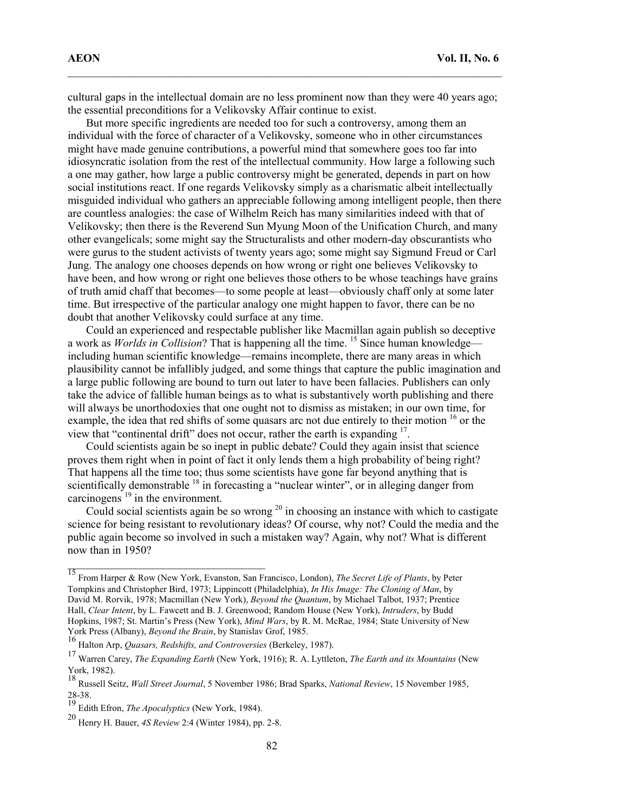cultural gaps in the intellectual domain are no less prominent now than they were 40 years ago; the essential preconditions for a Velikovsky Affair continue to exist.

\_\_\_\_\_\_\_\_\_\_\_\_\_\_\_\_\_\_\_\_\_\_\_\_\_\_\_\_\_\_\_\_\_\_\_\_\_\_\_\_\_\_\_\_\_\_\_\_\_\_\_\_\_\_\_\_\_\_\_\_\_\_\_\_\_\_\_\_\_\_\_\_\_\_\_\_\_

 But more specific ingredients are needed too for such a controversy, among them an individual with the force of character of a Velikovsky, someone who in other circumstances might have made genuine contributions, a powerful mind that somewhere goes too far into idiosyncratic isolation from the rest of the intellectual community. How large a following such a one may gather, how large a public controversy might be generated, depends in part on how social institutions react. If one regards Velikovsky simply as a charismatic albeit intellectually misguided individual who gathers an appreciable following among intelligent people, then there are countless analogies: the case of Wilhelm Reich has many similarities indeed with that of Velikovsky; then there is the Reverend Sun Myung Moon of the Unification Church, and many other evangelicals; some might say the Structuralists and other modern-day obscurantists who were gurus to the student activists of twenty years ago; some might say Sigmund Freud or Carl Jung. The analogy one chooses depends on how wrong or right one believes Velikovsky to have been, and how wrong or right one believes those others to be whose teachings have grains of truth amid chaff that becomes—to some people at least—obviously chaff only at some later time. But irrespective of the particular analogy one might happen to favor, there can be no doubt that another Velikovsky could surface at any time.

 Could an experienced and respectable publisher like Macmillan again publish so deceptive a work as *Worlds in Collision*? That is happening all the time. <sup>15</sup> Since human knowledge including human scientific knowledge—remains incomplete, there are many areas in which plausibility cannot be infallibly judged, and some things that capture the public imagination and a large public following are bound to turn out later to have been fallacies. Publishers can only take the advice of fallible human beings as to what is substantively worth publishing and there will always be unorthodoxies that one ought not to dismiss as mistaken; in our own time, for example, the idea that red shifts of some quasars arc not due entirely to their motion <sup>16</sup> or the view that "continental drift" does not occur, rather the earth is expanding <sup>17</sup>.

 Could scientists again be so inept in public debate? Could they again insist that science proves them right when in point of fact it only lends them a high probability of being right? That happens all the time too; thus some scientists have gone far beyond anything that is scientifically demonstrable <sup>18</sup> in forecasting a "nuclear winter", or in alleging danger from carcinogens $^{19}$  in the environment.

Could social scientists again be so wrong  $20$  in choosing an instance with which to castigate science for being resistant to revolutionary ideas? Of course, why not? Could the media and the public again become so involved in such a mistaken way? Again, why not? What is different now than in 1950?

\_\_\_\_\_\_\_\_\_\_\_\_\_\_\_\_\_\_\_\_\_\_\_\_\_\_\_\_\_\_\_\_\_\_\_

<sup>&</sup>lt;sup>15</sup> From Harper & Row (New York, Evanston, San Francisco, London), The Secret Life of Plants, by Peter Tompkins and Christopher Bird, 1973; Lippincott (Philadelphia), In His Image: The Cloning of Man, by David M. Rorvik, 1978; Macmillan (New York), Beyond the Quantum, by Michael Talbot, 1937; Prentice Hall, Clear Intent, by L. Fawcett and B. J. Greenwood; Random House (New York), Intruders, by Budd Hopkins, 1987; St. Martin's Press (New York), Mind Wars, by R. M. McRae, 1984; State University of New York Press (Albany), Beyond the Brain, by Stanislav Grof, 1985.

<sup>&</sup>lt;sup>16</sup> Halton Arp, *Quasars, Redshifts, and Controversies* (Berkeley, 1987).

<sup>&</sup>lt;sup>17</sup> Warren Carey, *The Expanding Earth* (New York, 1916); R. A. Lyttleton, *The Earth and its Mountains* (New York, 1982).

<sup>18&</sup>lt;br><sup>18</sup> Russell Seitz, *Wall Street Journal*, 5 November 1986; Brad Sparks, *National Review*, 15 November 1985, 28-38.

 $\frac{19}{19}$  Edith Efron, *The Apocalyptics* (New York, 1984).

<sup>20</sup> Henry H. Bauer, 4S Review 2:4 (Winter 1984), pp. 2-8.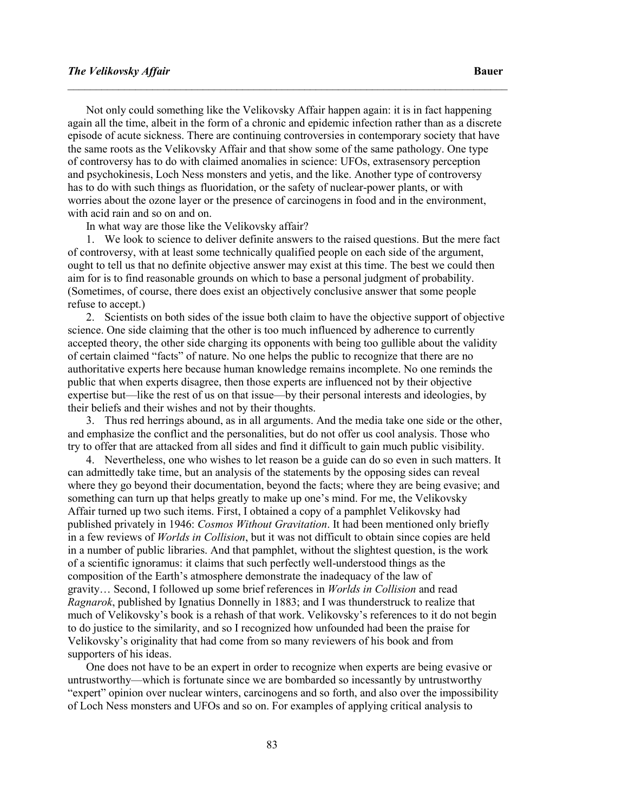#### The Velikovsky Affair and the Second Control of the Second Control of the Bauer Bauer

 Not only could something like the Velikovsky Affair happen again: it is in fact happening again all the time, albeit in the form of a chronic and epidemic infection rather than as a discrete episode of acute sickness. There are continuing controversies in contemporary society that have the same roots as the Velikovsky Affair and that show some of the same pathology. One type of controversy has to do with claimed anomalies in science: UFOs, extrasensory perception and psychokinesis, Loch Ness monsters and yetis, and the like. Another type of controversy has to do with such things as fluoridation, or the safety of nuclear-power plants, or with worries about the ozone layer or the presence of carcinogens in food and in the environment, with acid rain and so on and on.

\_\_\_\_\_\_\_\_\_\_\_\_\_\_\_\_\_\_\_\_\_\_\_\_\_\_\_\_\_\_\_\_\_\_\_\_\_\_\_\_\_\_\_\_\_\_\_\_\_\_\_\_\_\_\_\_\_\_\_\_\_\_\_\_\_\_\_\_\_\_\_\_\_\_\_\_\_\_

In what way are those like the Velikovsky affair?

 1. We look to science to deliver definite answers to the raised questions. But the mere fact of controversy, with at least some technically qualified people on each side of the argument, ought to tell us that no definite objective answer may exist at this time. The best we could then aim for is to find reasonable grounds on which to base a personal judgment of probability. (Sometimes, of course, there does exist an objectively conclusive answer that some people refuse to accept.)

 2. Scientists on both sides of the issue both claim to have the objective support of objective science. One side claiming that the other is too much influenced by adherence to currently accepted theory, the other side charging its opponents with being too gullible about the validity of certain claimed "facts" of nature. No one helps the public to recognize that there are no authoritative experts here because human knowledge remains incomplete. No one reminds the public that when experts disagree, then those experts are influenced not by their objective expertise but—like the rest of us on that issue—by their personal interests and ideologies, by their beliefs and their wishes and not by their thoughts.

 3. Thus red herrings abound, as in all arguments. And the media take one side or the other, and emphasize the conflict and the personalities, but do not offer us cool analysis. Those who try to offer that are attacked from all sides and find it difficult to gain much public visibility.

 4. Nevertheless, one who wishes to let reason be a guide can do so even in such matters. It can admittedly take time, but an analysis of the statements by the opposing sides can reveal where they go beyond their documentation, beyond the facts; where they are being evasive; and something can turn up that helps greatly to make up one's mind. For me, the Velikovsky Affair turned up two such items. First, I obtained a copy of a pamphlet Velikovsky had published privately in 1946: Cosmos Without Gravitation. It had been mentioned only briefly in a few reviews of Worlds in Collision, but it was not difficult to obtain since copies are held in a number of public libraries. And that pamphlet, without the slightest question, is the work of a scientific ignoramus: it claims that such perfectly well-understood things as the composition of the Earth's atmosphere demonstrate the inadequacy of the law of gravity… Second, I followed up some brief references in Worlds in Collision and read Ragnarok, published by Ignatius Donnelly in 1883; and I was thunderstruck to realize that much of Velikovsky's book is a rehash of that work. Velikovsky's references to it do not begin to do justice to the similarity, and so I recognized how unfounded had been the praise for Velikovsky's originality that had come from so many reviewers of his book and from supporters of his ideas.

 One does not have to be an expert in order to recognize when experts are being evasive or untrustworthy—which is fortunate since we are bombarded so incessantly by untrustworthy "expert" opinion over nuclear winters, carcinogens and so forth, and also over the impossibility of Loch Ness monsters and UFOs and so on. For examples of applying critical analysis to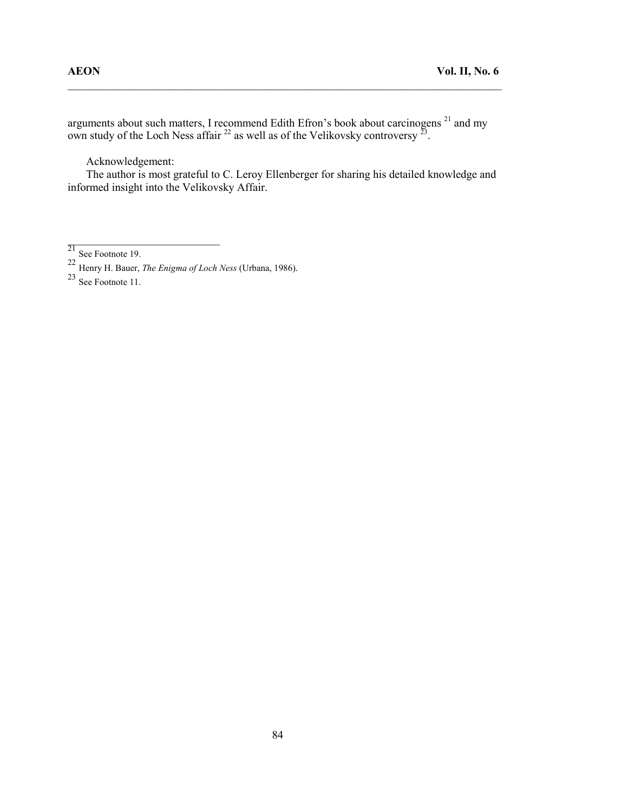arguments about such matters, I recommend Edith Efron's book about carcinogens  $^{21}$  and my own study of the Loch Ness affair  $^{22}$  as well as of the Velikovsky controversy  $^{23}$ .

\_\_\_\_\_\_\_\_\_\_\_\_\_\_\_\_\_\_\_\_\_\_\_\_\_\_\_\_\_\_\_\_\_\_\_\_\_\_\_\_\_\_\_\_\_\_\_\_\_\_\_\_\_\_\_\_\_\_\_\_\_\_\_\_\_\_\_\_\_\_\_\_\_\_\_\_\_

Acknowledgement:

 $\frac{1}{2}$  ,  $\frac{1}{2}$  ,  $\frac{1}{2}$  ,  $\frac{1}{2}$  ,  $\frac{1}{2}$  ,  $\frac{1}{2}$  ,  $\frac{1}{2}$  ,  $\frac{1}{2}$  ,  $\frac{1}{2}$  ,  $\frac{1}{2}$  ,  $\frac{1}{2}$  ,  $\frac{1}{2}$  ,  $\frac{1}{2}$  ,  $\frac{1}{2}$  ,  $\frac{1}{2}$  ,  $\frac{1}{2}$  ,  $\frac{1}{2}$  ,  $\frac{1}{2}$  ,  $\frac{1$ 

 The author is most grateful to C. Leroy Ellenberger for sharing his detailed knowledge and informed insight into the Velikovsky Affair.

 $^{21}$  See Footnote 19.

<sup>&</sup>lt;sup>22</sup> Henry H. Bauer, *The Enigma of Loch Ness* (Urbana, 1986).

 $23$  See Footnote 11.